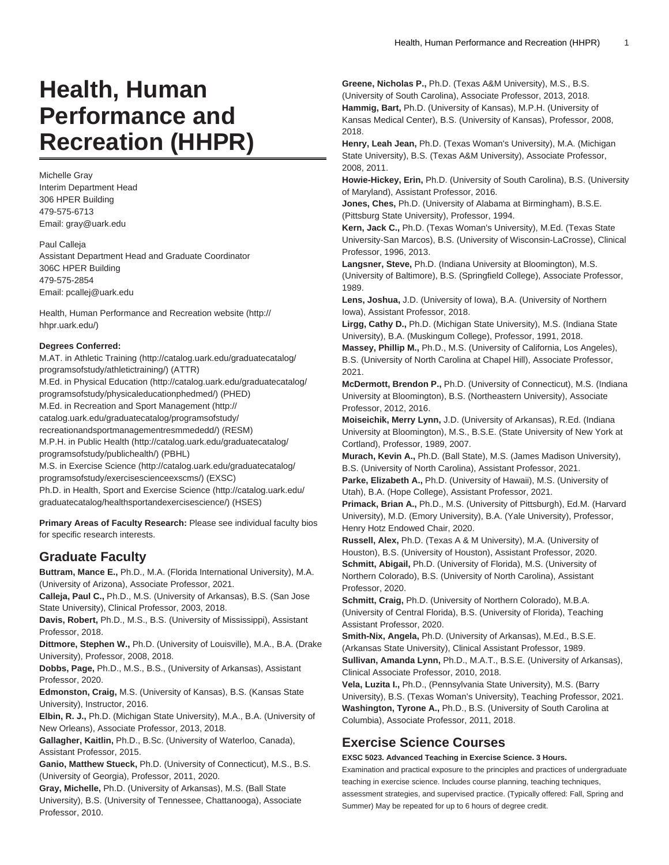# **Health, Human Performance and Recreation (HHPR)**

Michelle Gray Interim Department Head 306 HPER Building 479-575-6713 Email: [gray@uark.edu](mailto: gray@uark.edu)

Paul Calleja Assistant Department Head and Graduate Coordinator 306C HPER Building 479-575-2854 Email: [pcallej@uark.edu](mailto:pcallej@uark.edu)

[Health, Human Performance and Recreation website](http://hhpr.uark.edu/) [\(http://](http://hhpr.uark.edu/) [hhpr.uark.edu/\)](http://hhpr.uark.edu/)

# **Degrees Conferred:**

M.AT. in [Athletic Training](http://catalog.uark.edu/graduatecatalog/programsofstudy/athletictraining/) [\(http://catalog.uark.edu/graduatecatalog/](http://catalog.uark.edu/graduatecatalog/programsofstudy/athletictraining/) [programsofstudy/athletictraining/\)](http://catalog.uark.edu/graduatecatalog/programsofstudy/athletictraining/) (ATTR) M.Ed. in [Physical Education](http://catalog.uark.edu/graduatecatalog/programsofstudy/physicaleducationphedmed/) [\(http://catalog.uark.edu/graduatecatalog/](http://catalog.uark.edu/graduatecatalog/programsofstudy/physicaleducationphedmed/) [programsofstudy/physicaleducationphedmed/\)](http://catalog.uark.edu/graduatecatalog/programsofstudy/physicaleducationphedmed/) (PHED) M.Ed. in [Recreation and Sport Management](http://catalog.uark.edu/graduatecatalog/programsofstudy/recreationandsportmanagementresmmededd/) ([http://](http://catalog.uark.edu/graduatecatalog/programsofstudy/recreationandsportmanagementresmmededd/) [catalog.uark.edu/graduatecatalog/programsofstudy/](http://catalog.uark.edu/graduatecatalog/programsofstudy/recreationandsportmanagementresmmededd/) [recreationandsportmanagementresmmededd/](http://catalog.uark.edu/graduatecatalog/programsofstudy/recreationandsportmanagementresmmededd/)) (RESM) M.P.H. in [Public Health](http://catalog.uark.edu/graduatecatalog/programsofstudy/publichealth/) [\(http://catalog.uark.edu/graduatecatalog/](http://catalog.uark.edu/graduatecatalog/programsofstudy/publichealth/) [programsofstudy/publichealth/\)](http://catalog.uark.edu/graduatecatalog/programsofstudy/publichealth/) (PBHL) M.S. in [Exercise Science](http://catalog.uark.edu/graduatecatalog/programsofstudy/exercisescienceexscms/) [\(http://catalog.uark.edu/graduatecatalog/](http://catalog.uark.edu/graduatecatalog/programsofstudy/exercisescienceexscms/) [programsofstudy/exercisescienceexscms/](http://catalog.uark.edu/graduatecatalog/programsofstudy/exercisescienceexscms/)) (EXSC) Ph.D. in [Health, Sport and Exercise Science \(http://catalog.uark.edu/](http://catalog.uark.edu/graduatecatalog/healthsportandexercisescience/) [graduatecatalog/healthsportandexercisescience/\)](http://catalog.uark.edu/graduatecatalog/healthsportandexercisescience/) (HSES)

**Primary Areas of Faculty Research:** Please see individual faculty bios for specific research interests.

# **Graduate Faculty**

**Buttram, Mance E.,** Ph.D., M.A. (Florida International University), M.A. (University of Arizona), Associate Professor, 2021.

**Calleja, Paul C.,** Ph.D., M.S. (University of Arkansas), B.S. (San Jose State University), Clinical Professor, 2003, 2018.

**Davis, Robert,** Ph.D., M.S., B.S. (University of Mississippi), Assistant Professor, 2018.

**Dittmore, Stephen W.,** Ph.D. (University of Louisville), M.A., B.A. (Drake University), Professor, 2008, 2018.

**Dobbs, Page,** Ph.D., M.S., B.S., (University of Arkansas), Assistant Professor, 2020.

**Edmonston, Craig,** M.S. (University of Kansas), B.S. (Kansas State University), Instructor, 2016.

**Elbin, R. J.,** Ph.D. (Michigan State University), M.A., B.A. (University of New Orleans), Associate Professor, 2013, 2018.

**Gallagher, Kaitlin,** Ph.D., B.Sc. (University of Waterloo, Canada), Assistant Professor, 2015.

**Ganio, Matthew Stueck,** Ph.D. (University of Connecticut), M.S., B.S. (University of Georgia), Professor, 2011, 2020.

**Gray, Michelle,** Ph.D. (University of Arkansas), M.S. (Ball State University), B.S. (University of Tennessee, Chattanooga), Associate Professor, 2010.

**Greene, Nicholas P.,** Ph.D. (Texas A&M University), M.S., B.S. (University of South Carolina), Associate Professor, 2013, 2018. **Hammig, Bart,** Ph.D. (University of Kansas), M.P.H. (University of Kansas Medical Center), B.S. (University of Kansas), Professor, 2008, 2018.

**Henry, Leah Jean,** Ph.D. (Texas Woman's University), M.A. (Michigan State University), B.S. (Texas A&M University), Associate Professor, 2008, 2011.

**Howie-Hickey, Erin,** Ph.D. (University of South Carolina), B.S. (University of Maryland), Assistant Professor, 2016.

**Jones, Ches,** Ph.D. (University of Alabama at Birmingham), B.S.E. (Pittsburg State University), Professor, 1994.

**Kern, Jack C.,** Ph.D. (Texas Woman's University), M.Ed. (Texas State University-San Marcos), B.S. (University of Wisconsin-LaCrosse), Clinical Professor, 1996, 2013.

**Langsner, Steve,** Ph.D. (Indiana University at Bloomington), M.S. (University of Baltimore), B.S. (Springfield College), Associate Professor, 1989.

**Lens, Joshua,** J.D. (University of Iowa), B.A. (University of Northern Iowa), Assistant Professor, 2018.

**Lirgg, Cathy D.,** Ph.D. (Michigan State University), M.S. (Indiana State University), B.A. (Muskingum College), Professor, 1991, 2018.

**Massey, Phillip M.,** Ph.D., M.S. (University of California, Los Angeles), B.S. (University of North Carolina at Chapel Hill), Associate Professor, 2021.

**McDermott, Brendon P.,** Ph.D. (University of Connecticut), M.S. (Indiana University at Bloomington), B.S. (Northeastern University), Associate Professor, 2012, 2016.

**Moiseichik, Merry Lynn,** J.D. (University of Arkansas), R.Ed. (Indiana University at Bloomington), M.S., B.S.E. (State University of New York at Cortland), Professor, 1989, 2007.

**Murach, Kevin A.,** Ph.D. (Ball State), M.S. (James Madison University), B.S. (University of North Carolina), Assistant Professor, 2021.

**Parke, Elizabeth A.,** Ph.D. (University of Hawaii), M.S. (University of Utah), B.A. (Hope College), Assistant Professor, 2021.

**Primack, Brian A.,** Ph.D., M.S. (University of Pittsburgh), Ed.M. (Harvard University), M.D. (Emory University), B.A. (Yale University), Professor, Henry Hotz Endowed Chair, 2020.

**Russell, Alex,** Ph.D. (Texas A & M University), M.A. (University of Houston), B.S. (University of Houston), Assistant Professor, 2020. **Schmitt, Abigail,** Ph.D. (University of Florida), M.S. (University of Northern Colorado), B.S. (University of North Carolina), Assistant Professor, 2020.

**Schmitt, Craig,** Ph.D. (University of Northern Colorado), M.B.A. (University of Central Florida), B.S. (University of Florida), Teaching Assistant Professor, 2020.

**Smith-Nix, Angela,** Ph.D. (University of Arkansas), M.Ed., B.S.E. (Arkansas State University), Clinical Assistant Professor, 1989.

**Sullivan, Amanda Lynn,** Ph.D., M.A.T., B.S.E. (University of Arkansas), Clinical Associate Professor, 2010, 2018.

**Vela, Luzita I.,** Ph.D., (Pennsylvania State University), M.S. (Barry University), B.S. (Texas Woman's University), Teaching Professor, 2021. **Washington, Tyrone A.,** Ph.D., B.S. (University of South Carolina at Columbia), Associate Professor, 2011, 2018.

# **Exercise Science Courses**

**EXSC 5023. Advanced Teaching in Exercise Science. 3 Hours.**

Examination and practical exposure to the principles and practices of undergraduate teaching in exercise science. Includes course planning, teaching techniques, assessment strategies, and supervised practice. (Typically offered: Fall, Spring and Summer) May be repeated for up to 6 hours of degree credit.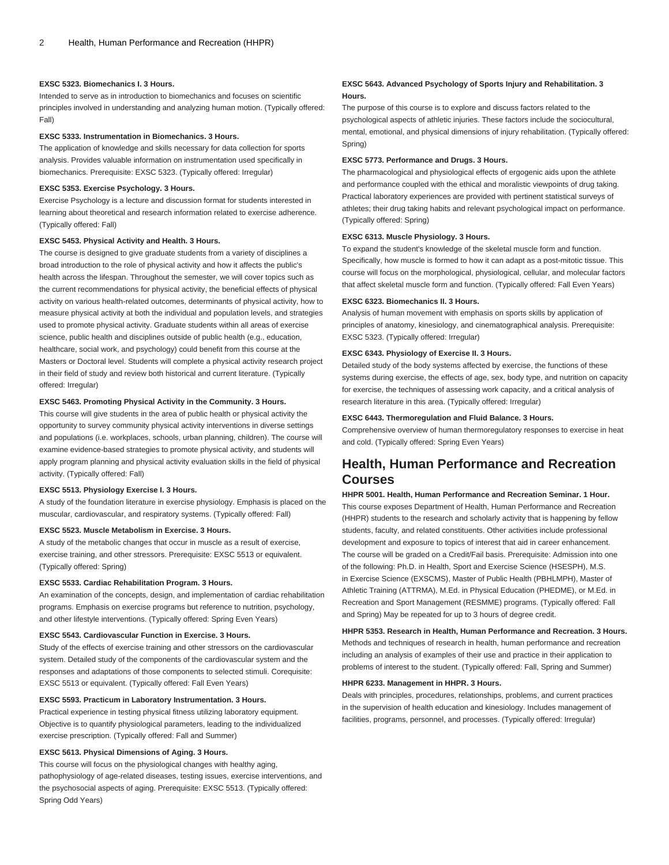#### **EXSC 5323. Biomechanics I. 3 Hours.**

Intended to serve as in introduction to biomechanics and focuses on scientific principles involved in understanding and analyzing human motion. (Typically offered: Fall)

#### **EXSC 5333. Instrumentation in Biomechanics. 3 Hours.**

The application of knowledge and skills necessary for data collection for sports analysis. Provides valuable information on instrumentation used specifically in biomechanics. Prerequisite: [EXSC 5323](/search/?P=EXSC%205323). (Typically offered: Irregular)

#### **EXSC 5353. Exercise Psychology. 3 Hours.**

Exercise Psychology is a lecture and discussion format for students interested in learning about theoretical and research information related to exercise adherence. (Typically offered: Fall)

#### **EXSC 5453. Physical Activity and Health. 3 Hours.**

The course is designed to give graduate students from a variety of disciplines a broad introduction to the role of physical activity and how it affects the public's health across the lifespan. Throughout the semester, we will cover topics such as the current recommendations for physical activity, the beneficial effects of physical activity on various health-related outcomes, determinants of physical activity, how to measure physical activity at both the individual and population levels, and strategies used to promote physical activity. Graduate students within all areas of exercise science, public health and disciplines outside of public health (e.g., education, healthcare, social work, and psychology) could benefit from this course at the Masters or Doctoral level. Students will complete a physical activity research project in their field of study and review both historical and current literature. (Typically offered: Irregular)

# **EXSC 5463. Promoting Physical Activity in the Community. 3 Hours.**

This course will give students in the area of public health or physical activity the opportunity to survey community physical activity interventions in diverse settings and populations (i.e. workplaces, schools, urban planning, children). The course will examine evidence-based strategies to promote physical activity, and students will apply program planning and physical activity evaluation skills in the field of physical activity. (Typically offered: Fall)

#### **EXSC 5513. Physiology Exercise I. 3 Hours.**

A study of the foundation literature in exercise physiology. Emphasis is placed on the muscular, cardiovascular, and respiratory systems. (Typically offered: Fall)

## **EXSC 5523. Muscle Metabolism in Exercise. 3 Hours.**

A study of the metabolic changes that occur in muscle as a result of exercise, exercise training, and other stressors. Prerequisite: [EXSC 5513](/search/?P=EXSC%205513) or equivalent. (Typically offered: Spring)

#### **EXSC 5533. Cardiac Rehabilitation Program. 3 Hours.**

An examination of the concepts, design, and implementation of cardiac rehabilitation programs. Emphasis on exercise programs but reference to nutrition, psychology, and other lifestyle interventions. (Typically offered: Spring Even Years)

#### **EXSC 5543. Cardiovascular Function in Exercise. 3 Hours.**

Study of the effects of exercise training and other stressors on the cardiovascular system. Detailed study of the components of the cardiovascular system and the responses and adaptations of those components to selected stimuli. Corequisite: [EXSC 5513](/search/?P=EXSC%205513) or equivalent. (Typically offered: Fall Even Years)

#### **EXSC 5593. Practicum in Laboratory Instrumentation. 3 Hours.**

Practical experience in testing physical fitness utilizing laboratory equipment. Objective is to quantify physiological parameters, leading to the individualized exercise prescription. (Typically offered: Fall and Summer)

# **EXSC 5613. Physical Dimensions of Aging. 3 Hours.**

This course will focus on the physiological changes with healthy aging, pathophysiology of age-related diseases, testing issues, exercise interventions, and the psychosocial aspects of aging. Prerequisite: [EXSC 5513](/search/?P=EXSC%205513). (Typically offered: Spring Odd Years)

## **EXSC 5643. Advanced Psychology of Sports Injury and Rehabilitation. 3 Hours.**

The purpose of this course is to explore and discuss factors related to the psychological aspects of athletic injuries. These factors include the sociocultural, mental, emotional, and physical dimensions of injury rehabilitation. (Typically offered: Spring)

#### **EXSC 5773. Performance and Drugs. 3 Hours.**

The pharmacological and physiological effects of ergogenic aids upon the athlete and performance coupled with the ethical and moralistic viewpoints of drug taking. Practical laboratory experiences are provided with pertinent statistical surveys of athletes; their drug taking habits and relevant psychological impact on performance. (Typically offered: Spring)

## **EXSC 6313. Muscle Physiology. 3 Hours.**

To expand the student's knowledge of the skeletal muscle form and function. Specifically, how muscle is formed to how it can adapt as a post-mitotic tissue. This course will focus on the morphological, physiological, cellular, and molecular factors that affect skeletal muscle form and function. (Typically offered: Fall Even Years)

# **EXSC 6323. Biomechanics II. 3 Hours.**

Analysis of human movement with emphasis on sports skills by application of principles of anatomy, kinesiology, and cinematographical analysis. Prerequisite: [EXSC 5323.](/search/?P=EXSC%205323) (Typically offered: Irregular)

#### **EXSC 6343. Physiology of Exercise II. 3 Hours.**

Detailed study of the body systems affected by exercise, the functions of these systems during exercise, the effects of age, sex, body type, and nutrition on capacity for exercise, the techniques of assessing work capacity, and a critical analysis of research literature in this area. (Typically offered: Irregular)

# **EXSC 6443. Thermoregulation and Fluid Balance. 3 Hours.**

Comprehensive overview of human thermoregulatory responses to exercise in heat and cold. (Typically offered: Spring Even Years)

# **Health, Human Performance and Recreation Courses**

**HHPR 5001. Health, Human Performance and Recreation Seminar. 1 Hour.** This course exposes Department of Health, Human Performance and Recreation (HHPR) students to the research and scholarly activity that is happening by fellow students, faculty, and related constituents. Other activities include professional development and exposure to topics of interest that aid in career enhancement. The course will be graded on a Credit/Fail basis. Prerequisite: Admission into one of the following: Ph.D. in Health, Sport and Exercise Science (HSESPH), M.S. in Exercise Science (EXSCMS), Master of Public Health (PBHLMPH), Master of Athletic Training (ATTRMA), M.Ed. in Physical Education (PHEDME), or M.Ed. in Recreation and Sport Management (RESMME) programs. (Typically offered: Fall and Spring) May be repeated for up to 3 hours of degree credit.

**HHPR 5353. Research in Health, Human Performance and Recreation. 3 Hours.** Methods and techniques of research in health, human performance and recreation including an analysis of examples of their use and practice in their application to problems of interest to the student. (Typically offered: Fall, Spring and Summer)

#### **HHPR 6233. Management in HHPR. 3 Hours.**

Deals with principles, procedures, relationships, problems, and current practices in the supervision of health education and kinesiology. Includes management of facilities, programs, personnel, and processes. (Typically offered: Irregular)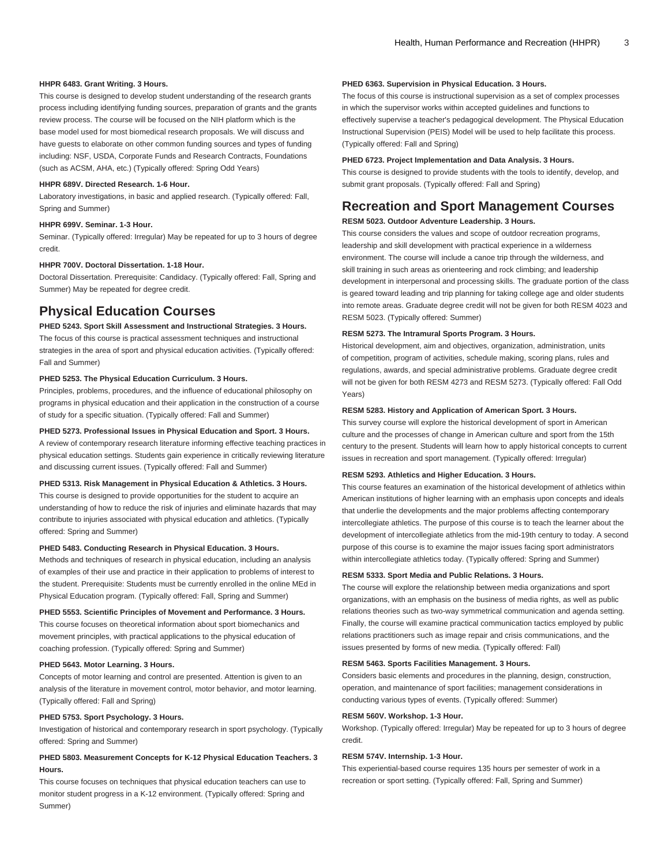#### **HHPR 6483. Grant Writing. 3 Hours.**

This course is designed to develop student understanding of the research grants process including identifying funding sources, preparation of grants and the grants review process. The course will be focused on the NIH platform which is the base model used for most biomedical research proposals. We will discuss and have guests to elaborate on other common funding sources and types of funding including: NSF, USDA, Corporate Funds and Research Contracts, Foundations (such as ACSM, AHA, etc.) (Typically offered: Spring Odd Years)

#### **HHPR 689V. Directed Research. 1-6 Hour.**

Laboratory investigations, in basic and applied research. (Typically offered: Fall, Spring and Summer)

#### **HHPR 699V. Seminar. 1-3 Hour.**

Seminar. (Typically offered: Irregular) May be repeated for up to 3 hours of degree credit.

#### **HHPR 700V. Doctoral Dissertation. 1-18 Hour.**

Doctoral Dissertation. Prerequisite: Candidacy. (Typically offered: Fall, Spring and Summer) May be repeated for degree credit.

# **Physical Education Courses**

# **PHED 5243. Sport Skill Assessment and Instructional Strategies. 3 Hours.**

The focus of this course is practical assessment techniques and instructional strategies in the area of sport and physical education activities. (Typically offered: Fall and Summer)

# **PHED 5253. The Physical Education Curriculum. 3 Hours.**

Principles, problems, procedures, and the influence of educational philosophy on programs in physical education and their application in the construction of a course of study for a specific situation. (Typically offered: Fall and Summer)

# **PHED 5273. Professional Issues in Physical Education and Sport. 3 Hours.**

A review of contemporary research literature informing effective teaching practices in physical education settings. Students gain experience in critically reviewing literature and discussing current issues. (Typically offered: Fall and Summer)

#### **PHED 5313. Risk Management in Physical Education & Athletics. 3 Hours.**

This course is designed to provide opportunities for the student to acquire an understanding of how to reduce the risk of injuries and eliminate hazards that may contribute to injuries associated with physical education and athletics. (Typically offered: Spring and Summer)

#### **PHED 5483. Conducting Research in Physical Education. 3 Hours.**

Methods and techniques of research in physical education, including an analysis of examples of their use and practice in their application to problems of interest to the student. Prerequisite: Students must be currently enrolled in the online MEd in Physical Education program. (Typically offered: Fall, Spring and Summer)

**PHED 5553. Scientific Principles of Movement and Performance. 3 Hours.** This course focuses on theoretical information about sport biomechanics and movement principles, with practical applications to the physical education of coaching profession. (Typically offered: Spring and Summer)

## **PHED 5643. Motor Learning. 3 Hours.**

Concepts of motor learning and control are presented. Attention is given to an analysis of the literature in movement control, motor behavior, and motor learning. (Typically offered: Fall and Spring)

#### **PHED 5753. Sport Psychology. 3 Hours.**

Investigation of historical and contemporary research in sport psychology. (Typically offered: Spring and Summer)

# **PHED 5803. Measurement Concepts for K-12 Physical Education Teachers. 3 Hours.**

This course focuses on techniques that physical education teachers can use to monitor student progress in a K-12 environment. (Typically offered: Spring and Summer)

#### **PHED 6363. Supervision in Physical Education. 3 Hours.**

The focus of this course is instructional supervision as a set of complex processes in which the supervisor works within accepted guidelines and functions to effectively supervise a teacher's pedagogical development. The Physical Education Instructional Supervision (PEIS) Model will be used to help facilitate this process. (Typically offered: Fall and Spring)

#### **PHED 6723. Project Implementation and Data Analysis. 3 Hours.**

This course is designed to provide students with the tools to identify, develop, and submit grant proposals. (Typically offered: Fall and Spring)

# **Recreation and Sport Management Courses**

# **RESM 5023. Outdoor Adventure Leadership. 3 Hours.**

This course considers the values and scope of outdoor recreation programs, leadership and skill development with practical experience in a wilderness environment. The course will include a canoe trip through the wilderness, and skill training in such areas as orienteering and rock climbing; and leadership development in interpersonal and processing skills. The graduate portion of the class is geared toward leading and trip planning for taking college age and older students into remote areas. Graduate degree credit will not be given for both [RESM 4023](/search/?P=RESM%204023) and [RESM 5023.](/search/?P=RESM%205023) (Typically offered: Summer)

#### **RESM 5273. The Intramural Sports Program. 3 Hours.**

Historical development, aim and objectives, organization, administration, units of competition, program of activities, schedule making, scoring plans, rules and regulations, awards, and special administrative problems. Graduate degree credit will not be given for both [RESM 4273](/search/?P=RESM%204273) and [RESM 5273.](/search/?P=RESM%205273) (Typically offered: Fall Odd Years)

# **RESM 5283. History and Application of American Sport. 3 Hours.**

This survey course will explore the historical development of sport in American culture and the processes of change in American culture and sport from the 15th century to the present. Students will learn how to apply historical concepts to current issues in recreation and sport management. (Typically offered: Irregular)

#### **RESM 5293. Athletics and Higher Education. 3 Hours.**

This course features an examination of the historical development of athletics within American institutions of higher learning with an emphasis upon concepts and ideals that underlie the developments and the major problems affecting contemporary intercollegiate athletics. The purpose of this course is to teach the learner about the development of intercollegiate athletics from the mid-19th century to today. A second purpose of this course is to examine the major issues facing sport administrators within intercollegiate athletics today. (Typically offered: Spring and Summer)

#### **RESM 5333. Sport Media and Public Relations. 3 Hours.**

The course will explore the relationship between media organizations and sport organizations, with an emphasis on the business of media rights, as well as public relations theories such as two-way symmetrical communication and agenda setting. Finally, the course will examine practical communication tactics employed by public relations practitioners such as image repair and crisis communications, and the issues presented by forms of new media. (Typically offered: Fall)

#### **RESM 5463. Sports Facilities Management. 3 Hours.**

Considers basic elements and procedures in the planning, design, construction, operation, and maintenance of sport facilities; management considerations in conducting various types of events. (Typically offered: Summer)

#### **RESM 560V. Workshop. 1-3 Hour.**

Workshop. (Typically offered: Irregular) May be repeated for up to 3 hours of degree credit.

### **RESM 574V. Internship. 1-3 Hour.**

This experiential-based course requires 135 hours per semester of work in a recreation or sport setting. (Typically offered: Fall, Spring and Summer)